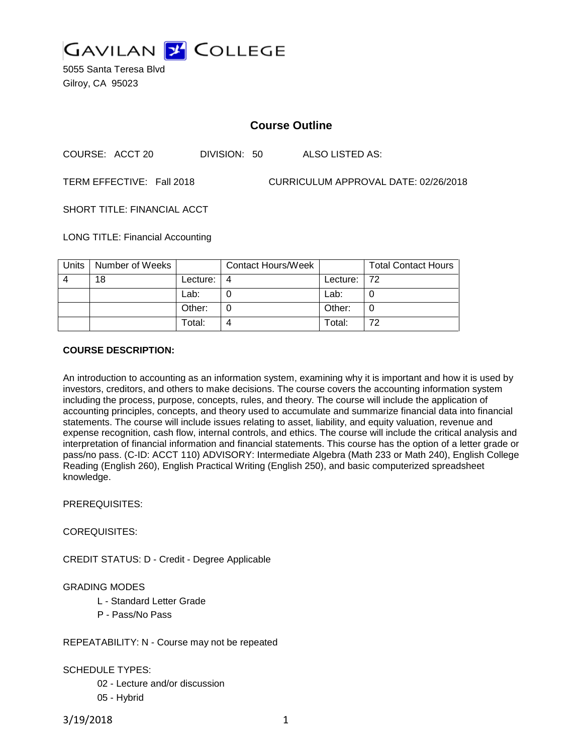

5055 Santa Teresa Blvd Gilroy, CA 95023

# **Course Outline**

COURSE: ACCT 20 DIVISION: 50 ALSO LISTED AS:

TERM EFFECTIVE: Fall 2018 CURRICULUM APPROVAL DATE: 02/26/2018

SHORT TITLE: FINANCIAL ACCT

LONG TITLE: Financial Accounting

| Units | Number of Weeks |          | <b>Contact Hours/Week</b> |             | <b>Total Contact Hours</b> |
|-------|-----------------|----------|---------------------------|-------------|----------------------------|
|       | 18              | Lecture: |                           | Lecture: 72 |                            |
|       |                 | Lab:     |                           | Lab:        |                            |
|       |                 | Other:   |                           | Other:      |                            |
|       |                 | Total:   |                           | Total:      | 72                         |

### **COURSE DESCRIPTION:**

An introduction to accounting as an information system, examining why it is important and how it is used by investors, creditors, and others to make decisions. The course covers the accounting information system including the process, purpose, concepts, rules, and theory. The course will include the application of accounting principles, concepts, and theory used to accumulate and summarize financial data into financial statements. The course will include issues relating to asset, liability, and equity valuation, revenue and expense recognition, cash flow, internal controls, and ethics. The course will include the critical analysis and interpretation of financial information and financial statements. This course has the option of a letter grade or pass/no pass. (C-ID: ACCT 110) ADVISORY: Intermediate Algebra (Math 233 or Math 240), English College Reading (English 260), English Practical Writing (English 250), and basic computerized spreadsheet knowledge.

PREREQUISITES:

COREQUISITES:

CREDIT STATUS: D - Credit - Degree Applicable

## GRADING MODES

- L Standard Letter Grade
- P Pass/No Pass

REPEATABILITY: N - Course may not be repeated

SCHEDULE TYPES:

02 - Lecture and/or discussion

05 - Hybrid

3/19/2018 1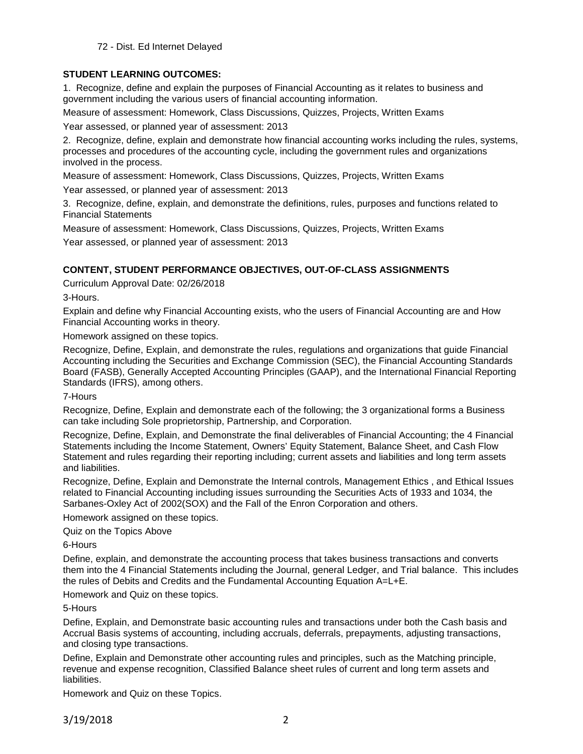72 - Dist. Ed Internet Delayed

## **STUDENT LEARNING OUTCOMES:**

1. Recognize, define and explain the purposes of Financial Accounting as it relates to business and government including the various users of financial accounting information.

Measure of assessment: Homework, Class Discussions, Quizzes, Projects, Written Exams

Year assessed, or planned year of assessment: 2013

2. Recognize, define, explain and demonstrate how financial accounting works including the rules, systems, processes and procedures of the accounting cycle, including the government rules and organizations involved in the process.

Measure of assessment: Homework, Class Discussions, Quizzes, Projects, Written Exams

Year assessed, or planned year of assessment: 2013

3. Recognize, define, explain, and demonstrate the definitions, rules, purposes and functions related to Financial Statements

Measure of assessment: Homework, Class Discussions, Quizzes, Projects, Written Exams Year assessed, or planned year of assessment: 2013

# **CONTENT, STUDENT PERFORMANCE OBJECTIVES, OUT-OF-CLASS ASSIGNMENTS**

Curriculum Approval Date: 02/26/2018

3-Hours.

Explain and define why Financial Accounting exists, who the users of Financial Accounting are and How Financial Accounting works in theory.

Homework assigned on these topics.

Recognize, Define, Explain, and demonstrate the rules, regulations and organizations that guide Financial Accounting including the Securities and Exchange Commission (SEC), the Financial Accounting Standards Board (FASB), Generally Accepted Accounting Principles (GAAP), and the International Financial Reporting Standards (IFRS), among others.

7-Hours

Recognize, Define, Explain and demonstrate each of the following; the 3 organizational forms a Business can take including Sole proprietorship, Partnership, and Corporation.

Recognize, Define, Explain, and Demonstrate the final deliverables of Financial Accounting; the 4 Financial Statements including the Income Statement, Owners' Equity Statement, Balance Sheet, and Cash Flow Statement and rules regarding their reporting including; current assets and liabilities and long term assets and liabilities.

Recognize, Define, Explain and Demonstrate the Internal controls, Management Ethics , and Ethical Issues related to Financial Accounting including issues surrounding the Securities Acts of 1933 and 1034, the Sarbanes-Oxley Act of 2002(SOX) and the Fall of the Enron Corporation and others.

Homework assigned on these topics.

Quiz on the Topics Above

6-Hours

Define, explain, and demonstrate the accounting process that takes business transactions and converts them into the 4 Financial Statements including the Journal, general Ledger, and Trial balance. This includes the rules of Debits and Credits and the Fundamental Accounting Equation A=L+E.

Homework and Quiz on these topics.

5-Hours

Define, Explain, and Demonstrate basic accounting rules and transactions under both the Cash basis and Accrual Basis systems of accounting, including accruals, deferrals, prepayments, adjusting transactions, and closing type transactions.

Define, Explain and Demonstrate other accounting rules and principles, such as the Matching principle, revenue and expense recognition, Classified Balance sheet rules of current and long term assets and liabilities.

Homework and Quiz on these Topics.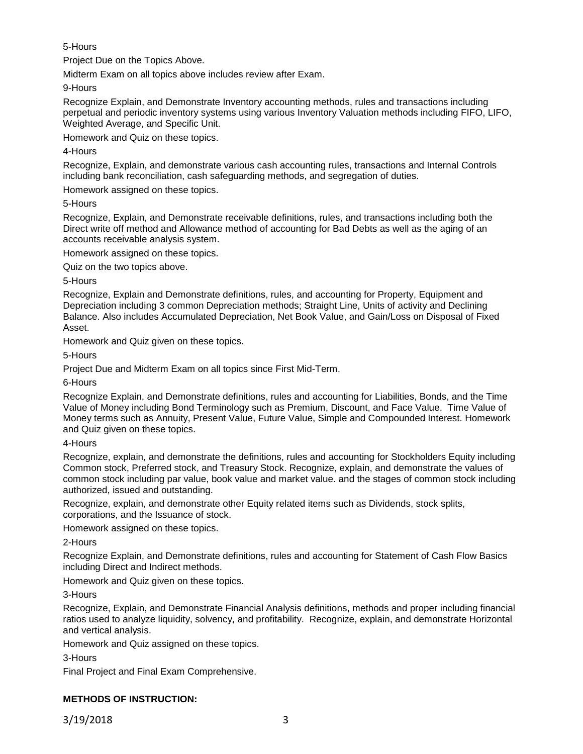## 5-Hours

Project Due on the Topics Above.

Midterm Exam on all topics above includes review after Exam.

9-Hours

Recognize Explain, and Demonstrate Inventory accounting methods, rules and transactions including perpetual and periodic inventory systems using various Inventory Valuation methods including FIFO, LIFO, Weighted Average, and Specific Unit.

Homework and Quiz on these topics.

## 4-Hours

Recognize, Explain, and demonstrate various cash accounting rules, transactions and Internal Controls including bank reconciliation, cash safeguarding methods, and segregation of duties.

Homework assigned on these topics.

5-Hours

Recognize, Explain, and Demonstrate receivable definitions, rules, and transactions including both the Direct write off method and Allowance method of accounting for Bad Debts as well as the aging of an accounts receivable analysis system.

Homework assigned on these topics.

Quiz on the two topics above.

5-Hours

Recognize, Explain and Demonstrate definitions, rules, and accounting for Property, Equipment and Depreciation including 3 common Depreciation methods; Straight Line, Units of activity and Declining Balance. Also includes Accumulated Depreciation, Net Book Value, and Gain/Loss on Disposal of Fixed Asset.

Homework and Quiz given on these topics.

5-Hours

Project Due and Midterm Exam on all topics since First Mid-Term.

6-Hours

Recognize Explain, and Demonstrate definitions, rules and accounting for Liabilities, Bonds, and the Time Value of Money including Bond Terminology such as Premium, Discount, and Face Value. Time Value of Money terms such as Annuity, Present Value, Future Value, Simple and Compounded Interest. Homework and Quiz given on these topics.

4-Hours

Recognize, explain, and demonstrate the definitions, rules and accounting for Stockholders Equity including Common stock, Preferred stock, and Treasury Stock. Recognize, explain, and demonstrate the values of common stock including par value, book value and market value. and the stages of common stock including authorized, issued and outstanding.

Recognize, explain, and demonstrate other Equity related items such as Dividends, stock splits, corporations, and the Issuance of stock.

Homework assigned on these topics.

2-Hours

Recognize Explain, and Demonstrate definitions, rules and accounting for Statement of Cash Flow Basics including Direct and Indirect methods.

Homework and Quiz given on these topics.

3-Hours

Recognize, Explain, and Demonstrate Financial Analysis definitions, methods and proper including financial ratios used to analyze liquidity, solvency, and profitability. Recognize, explain, and demonstrate Horizontal and vertical analysis.

Homework and Quiz assigned on these topics.

3-Hours

Final Project and Final Exam Comprehensive.

# **METHODS OF INSTRUCTION:**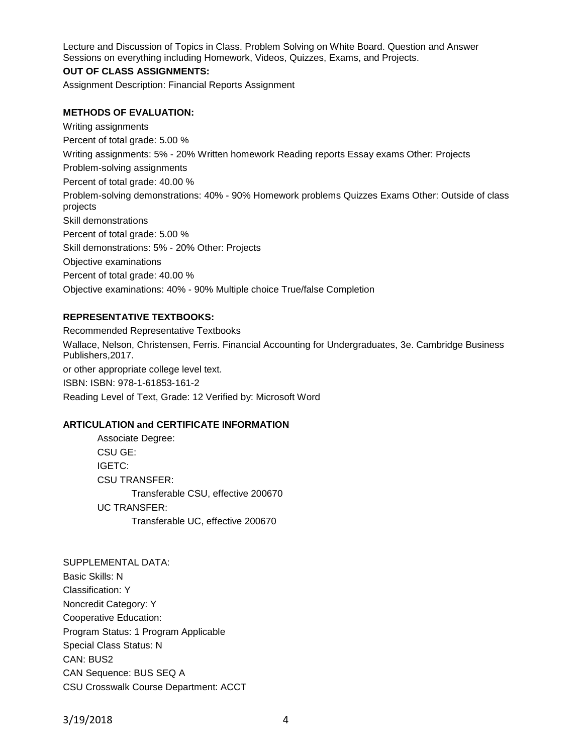Lecture and Discussion of Topics in Class. Problem Solving on White Board. Question and Answer Sessions on everything including Homework, Videos, Quizzes, Exams, and Projects.

### **OUT OF CLASS ASSIGNMENTS:**

Assignment Description: Financial Reports Assignment

#### **METHODS OF EVALUATION:**

Writing assignments Percent of total grade: 5.00 % Writing assignments: 5% - 20% Written homework Reading reports Essay exams Other: Projects Problem-solving assignments Percent of total grade: 40.00 % Problem-solving demonstrations: 40% - 90% Homework problems Quizzes Exams Other: Outside of class projects Skill demonstrations Percent of total grade: 5.00 % Skill demonstrations: 5% - 20% Other: Projects Objective examinations Percent of total grade: 40.00 % Objective examinations: 40% - 90% Multiple choice True/false Completion

#### **REPRESENTATIVE TEXTBOOKS:**

Recommended Representative Textbooks Wallace, Nelson, Christensen, Ferris. Financial Accounting for Undergraduates, 3e. Cambridge Business Publishers,2017. or other appropriate college level text. ISBN: ISBN: 978-1-61853-161-2 Reading Level of Text, Grade: 12 Verified by: Microsoft Word

#### **ARTICULATION and CERTIFICATE INFORMATION**

Associate Degree: CSU GE: IGETC: CSU TRANSFER: Transferable CSU, effective 200670 UC TRANSFER: Transferable UC, effective 200670

SUPPLEMENTAL DATA: Basic Skills: N Classification: Y Noncredit Category: Y Cooperative Education: Program Status: 1 Program Applicable Special Class Status: N CAN: BUS2 CAN Sequence: BUS SEQ A CSU Crosswalk Course Department: ACCT

3/19/2018 4